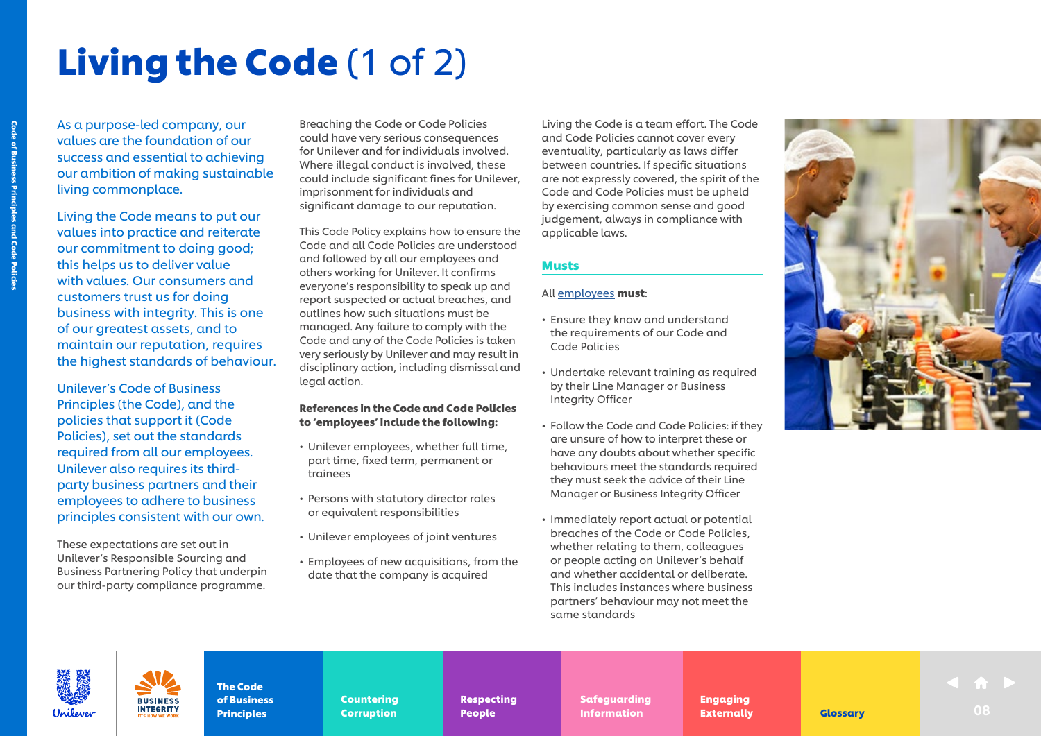## Living the Code (1 of 2)

As a purpose-led company, our values are the foundation of our success and essential to achieving our ambition of making sustainable living commonplace.

Living the Code means to put our values into practice and reiterate our commitment to doing good; this helps us to deliver value with values. Our consumers and customers trust us for doing business with integrity. This is one of our greatest assets, and to maintain our reputation, requires the highest standards of behaviour.

Unilever's Code of Business Principles (the Code), and the policies that support it (Code Policies), set out the standards required from all our employees. Unilever also requires its thirdparty business partners and their employees to adhere to business principles consistent with our own.

These expectations are set out in Unilever's Responsible Sourcing and Business Partnering Policy that underpin our third-party compliance programme.

**INTEGRITY** 

Breaching the Code or Code Policies could have very serious consequences for Unilever and for individuals involved. Where illegal conduct is involved, these could include significant fines for Unilever, imprisonment for individuals and significant damage to our reputation.

This Code Policy explains how to ensure the Code and all Code Policies are understood and followed by all our employees and others working for Unilever. It confirms everyone's responsibility to speak up and report suspected or actual breaches, and outlines how such situations must be managed. Any failure to comply with the Code and any of the Code Policies is taken very seriously by Unilever and may result in disciplinary action, including dismissal and legal action.

### References in the Code and Code Policies to 'employees' include the following:

- Unilever employees, whether full time, part time, fixed term, permanent or trainees
- Persons with statutory director roles or equivalent responsibilities
- Unilever employees of joint ventures
- Employees of new acquisitions, from the date that the company is acquired

Living the Code is a team effort. The Code and Code Policies cannot cover every eventuality, particularly as laws differ between countries. If specific situations are not expressly covered, the spirit of the Code and Code Policies must be upheld by exercising common sense and good judgement, always in compliance with applicable laws.

## **Musts**

## All <u>employees</u> **must**:

- Ensure they know and understand the requirements of our Code and Code Policies
- Undertake relevant training as required by their Line Manager or Business Integrity Officer
- Follow the Code and Code Policies: if they are unsure of how to interpret these or have any doubts about whether specific behaviours meet the standards required they must seek the advice of their Line Manager or Business Integrity Officer
- Immediately report actual or potential breaches of the Code or Code Policies, whether relating to them, colleagues or people acting on Unilever's behalf and whether accidental or deliberate. This includes instances where business partners' behaviour may not meet the same standards





Code of Business Principles and Code Policies

de of Business Principles and Code Policies

The Code of Business **Principles** 

Countering Countering Corruption Corruption

Respecting Respecting People People

Safeguarding Safeguarding **Information Externally Glossary** 08

Engaging Engaging Externally Externally **Indian Definition of the Externally Constant Constant Constant Constant Constant Constant Constant Constant Co**